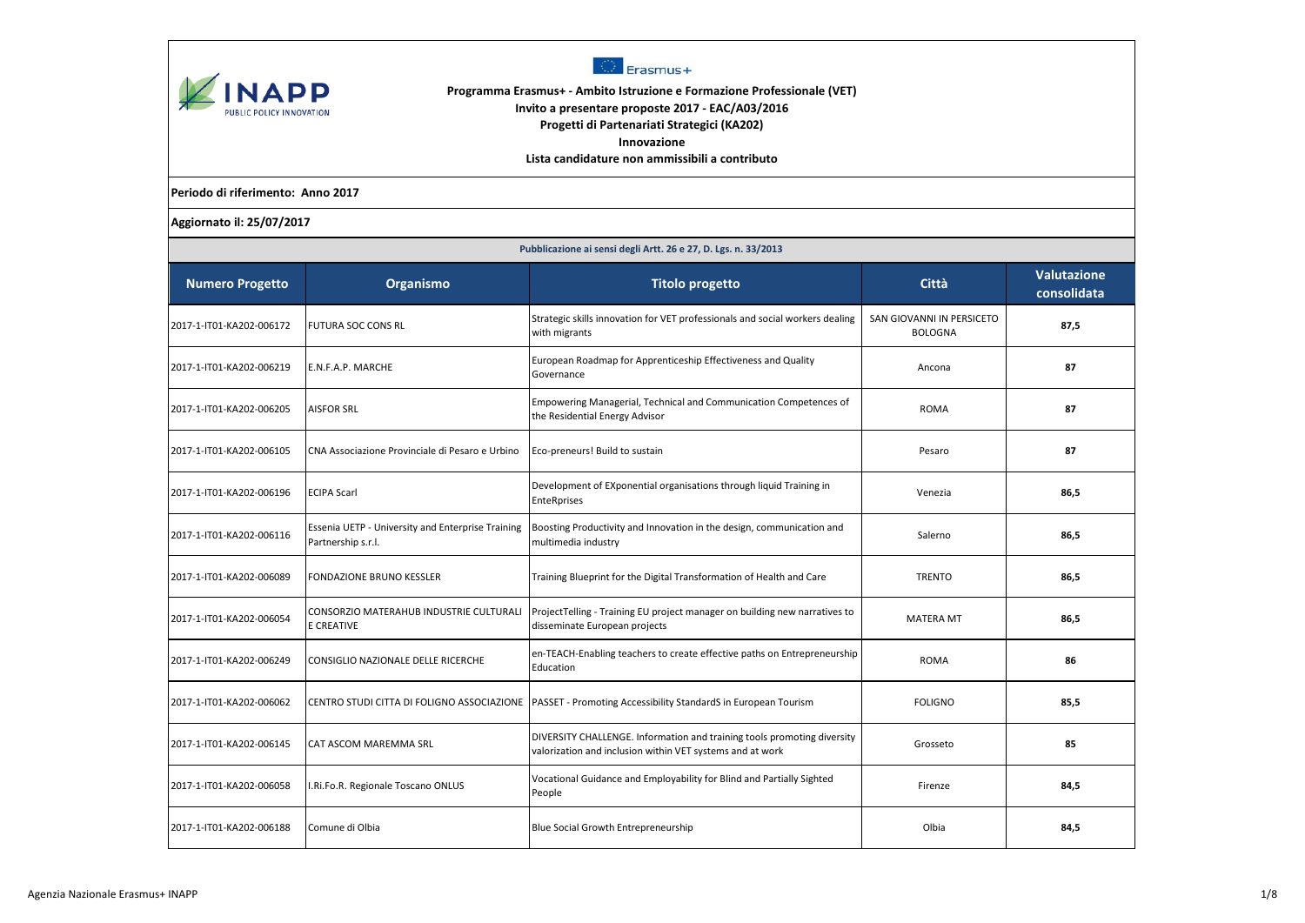



## **Programma Erasmus+ - Ambito Istruzione e Formazione Professionale (VET) Invito a presentare proposte 2017 - EAC/A03/2016 Progetti di Partenariati Strategici (KA202)**

**Innovazione**

**Lista candidature non ammissibili a contributo**

**Periodo di riferimento: Anno 2017**

**Aggiornato il: 25/07/2017**

|                          | Pubblicazione ai sensi degli Artt. 26 e 27, D. Lgs. n. 33/2013          |                                                                                                                                      |                                             |                                   |  |  |
|--------------------------|-------------------------------------------------------------------------|--------------------------------------------------------------------------------------------------------------------------------------|---------------------------------------------|-----------------------------------|--|--|
| <b>Numero Progetto</b>   | Organismo                                                               | <b>Titolo progetto</b>                                                                                                               | Città                                       | <b>Valutazione</b><br>consolidata |  |  |
| 2017-1-IT01-KA202-006172 | <b>FUTURA SOC CONS RL</b>                                               | Strategic skills innovation for VET professionals and social workers dealing<br>with migrants                                        | SAN GIOVANNI IN PERSICETO<br><b>BOLOGNA</b> | 87,5                              |  |  |
| 2017-1-IT01-KA202-006219 | E.N.F.A.P. MARCHE                                                       | European Roadmap for Apprenticeship Effectiveness and Quality<br>Governance                                                          | Ancona                                      | 87                                |  |  |
| 2017-1-IT01-KA202-006205 | <b>AISFOR SRL</b>                                                       | Empowering Managerial, Technical and Communication Competences of<br>the Residential Energy Advisor                                  | <b>ROMA</b>                                 | 87                                |  |  |
| 2017-1-IT01-KA202-006105 | CNA Associazione Provinciale di Pesaro e Urbino                         | Eco-preneurs! Build to sustain                                                                                                       | Pesaro                                      | 87                                |  |  |
| 2017-1-IT01-KA202-006196 | <b>ECIPA Scarl</b>                                                      | Development of EXponential organisations through liquid Training in<br><b>EnteRprises</b>                                            | Venezia                                     | 86,5                              |  |  |
| 2017-1-IT01-KA202-006116 | Essenia UETP - University and Enterprise Training<br>Partnership s.r.l. | Boosting Productivity and Innovation in the design, communication and<br>multimedia industry                                         | Salerno                                     | 86,5                              |  |  |
| 2017-1-IT01-KA202-006089 | <b>FONDAZIONE BRUNO KESSLER</b>                                         | Training Blueprint for the Digital Transformation of Health and Care                                                                 | <b>TRENTO</b>                               | 86,5                              |  |  |
| 2017-1-IT01-KA202-006054 | CONSORZIO MATERAHUB INDUSTRIE CULTURALI<br><b>E CREATIVE</b>            | ProjectTelling - Training EU project manager on building new narratives to<br>disseminate European projects                          | <b>MATERA MT</b>                            | 86,5                              |  |  |
| 2017-1-IT01-KA202-006249 | <b>CONSIGLIO NAZIONALE DELLE RICERCHE</b>                               | en-TEACH-Enabling teachers to create effective paths on Entrepreneurship<br>Education                                                | <b>ROMA</b>                                 | 86                                |  |  |
| 2017-1-IT01-KA202-006062 | CENTRO STUDI CITTA DI FOLIGNO ASSOCIAZIONE                              | PASSET - Promoting Accessibility StandardS in European Tourism                                                                       | <b>FOLIGNO</b>                              | 85,5                              |  |  |
| 2017-1-IT01-KA202-006145 | CAT ASCOM MAREMMA SRL                                                   | DIVERSITY CHALLENGE. Information and training tools promoting diversity<br>valorization and inclusion within VET systems and at work | Grosseto                                    | 85                                |  |  |
| 2017-1-IT01-KA202-006058 | I.Ri.Fo.R. Regionale Toscano ONLUS                                      | Vocational Guidance and Employability for Blind and Partially Sighted<br>People                                                      | Firenze                                     | 84,5                              |  |  |
| 2017-1-IT01-KA202-006188 | Comune di Olbia                                                         | Blue Social Growth Entrepreneurship                                                                                                  | Olbia                                       | 84,5                              |  |  |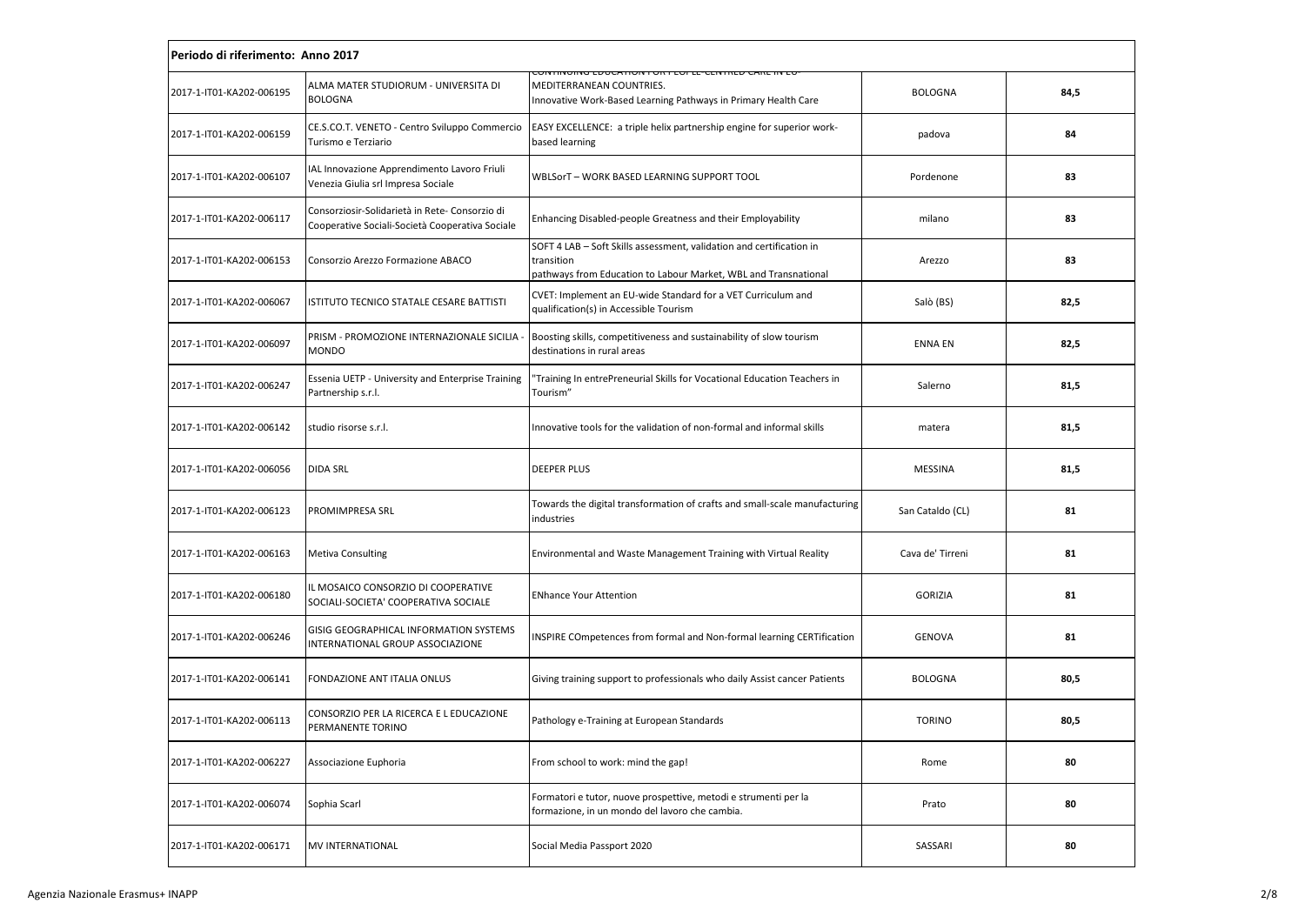| Periodo di riferimento: Anno 2017 |                                                                                                   |                                                                                                                                                         |                  |      |
|-----------------------------------|---------------------------------------------------------------------------------------------------|---------------------------------------------------------------------------------------------------------------------------------------------------------|------------------|------|
| 2017-1-IT01-KA202-006195          | ALMA MATER STUDIORUM - UNIVERSITA DI<br><b>BOLOGNA</b>                                            | <u>CONTINUING EDUCATION FOR PEOPLE-CENTRED CARE IN EC</u><br>MEDITERRANEAN COUNTRIES.<br>Innovative Work-Based Learning Pathways in Primary Health Care | <b>BOLOGNA</b>   | 84,5 |
| 2017-1-IT01-KA202-006159          | CE.S.CO.T. VENETO - Centro Sviluppo Commercio<br>Turismo e Terziario                              | EASY EXCELLENCE: a triple helix partnership engine for superior work-<br>based learning                                                                 | padova           | 84   |
| 2017-1-IT01-KA202-006107          | IAL Innovazione Apprendimento Lavoro Friuli<br>Venezia Giulia srl Impresa Sociale                 | WBLSorT - WORK BASED LEARNING SUPPORT TOOL                                                                                                              | Pordenone        | 83   |
| 2017-1-IT01-KA202-006117          | Consorziosir-Solidarietà in Rete- Consorzio di<br>Cooperative Sociali-Società Cooperativa Sociale | Enhancing Disabled-people Greatness and their Employability                                                                                             | milano           | 83   |
| 2017-1-IT01-KA202-006153          | Consorzio Arezzo Formazione ABACO                                                                 | SOFT 4 LAB - Soft Skills assessment, validation and certification in<br>transition<br>pathways from Education to Labour Market, WBL and Transnational   | Arezzo           | 83   |
| 2017-1-IT01-KA202-006067          | ISTITUTO TECNICO STATALE CESARE BATTISTI                                                          | CVET: Implement an EU-wide Standard for a VET Curriculum and<br>qualification(s) in Accessible Tourism                                                  | Salò (BS)        | 82,5 |
| 2017-1-IT01-KA202-006097          | PRISM - PROMOZIONE INTERNAZIONALE SICILIA -<br><b>MONDO</b>                                       | Boosting skills, competitiveness and sustainability of slow tourism<br>destinations in rural areas                                                      | <b>ENNA EN</b>   | 82,5 |
| 2017-1-IT01-KA202-006247          | Essenia UETP - University and Enterprise Training<br>Partnership s.r.l.                           | Training In entrePreneurial Skills for Vocational Education Teachers in<br>Tourism"                                                                     | Salerno          | 81,5 |
| 2017-1-IT01-KA202-006142          | studio risorse s.r.l.                                                                             | Innovative tools for the validation of non-formal and informal skills                                                                                   | matera           | 81,5 |
| 2017-1-IT01-KA202-006056          | <b>DIDA SRL</b>                                                                                   | <b>DEEPER PLUS</b>                                                                                                                                      | <b>MESSINA</b>   | 81,5 |
| 2017-1-IT01-KA202-006123          | PROMIMPRESA SRL                                                                                   | Towards the digital transformation of crafts and small-scale manufacturing<br>industries                                                                | San Cataldo (CL) | 81   |
| 2017-1-IT01-KA202-006163          | <b>Metiva Consulting</b>                                                                          | Environmental and Waste Management Training with Virtual Reality                                                                                        | Cava de' Tirreni | 81   |
| 2017-1-IT01-KA202-006180          | IL MOSAICO CONSORZIO DI COOPERATIVE<br>SOCIALI-SOCIETA' COOPERATIVA SOCIALE                       | <b>ENhance Your Attention</b>                                                                                                                           | <b>GORIZIA</b>   | 81   |
| 2017-1-IT01-KA202-006246          | GISIG GEOGRAPHICAL INFORMATION SYSTEMS<br>INTERNATIONAL GROUP ASSOCIAZIONE                        | INSPIRE COmpetences from formal and Non-formal learning CERTification                                                                                   | <b>GENOVA</b>    | 81   |
| 2017-1-IT01-KA202-006141          | FONDAZIONE ANT ITALIA ONLUS                                                                       | Giving training support to professionals who daily Assist cancer Patients                                                                               | <b>BOLOGNA</b>   | 80,5 |
| 2017-1-IT01-KA202-006113          | CONSORZIO PER LA RICERCA E L EDUCAZIONE<br>PERMANENTE TORINO                                      | Pathology e-Training at European Standards                                                                                                              | <b>TORINO</b>    | 80,5 |
| 2017-1-IT01-KA202-006227          | Associazione Euphoria                                                                             | From school to work: mind the gap!                                                                                                                      | Rome             | 80   |
| 2017-1-IT01-KA202-006074          | Sophia Scarl                                                                                      | Formatori e tutor, nuove prospettive, metodi e strumenti per la<br>formazione, in un mondo del lavoro che cambia.                                       | Prato            | 80   |
| 2017-1-IT01-KA202-006171          | <b>MV INTERNATIONAL</b>                                                                           | Social Media Passport 2020                                                                                                                              | SASSARI          | 80   |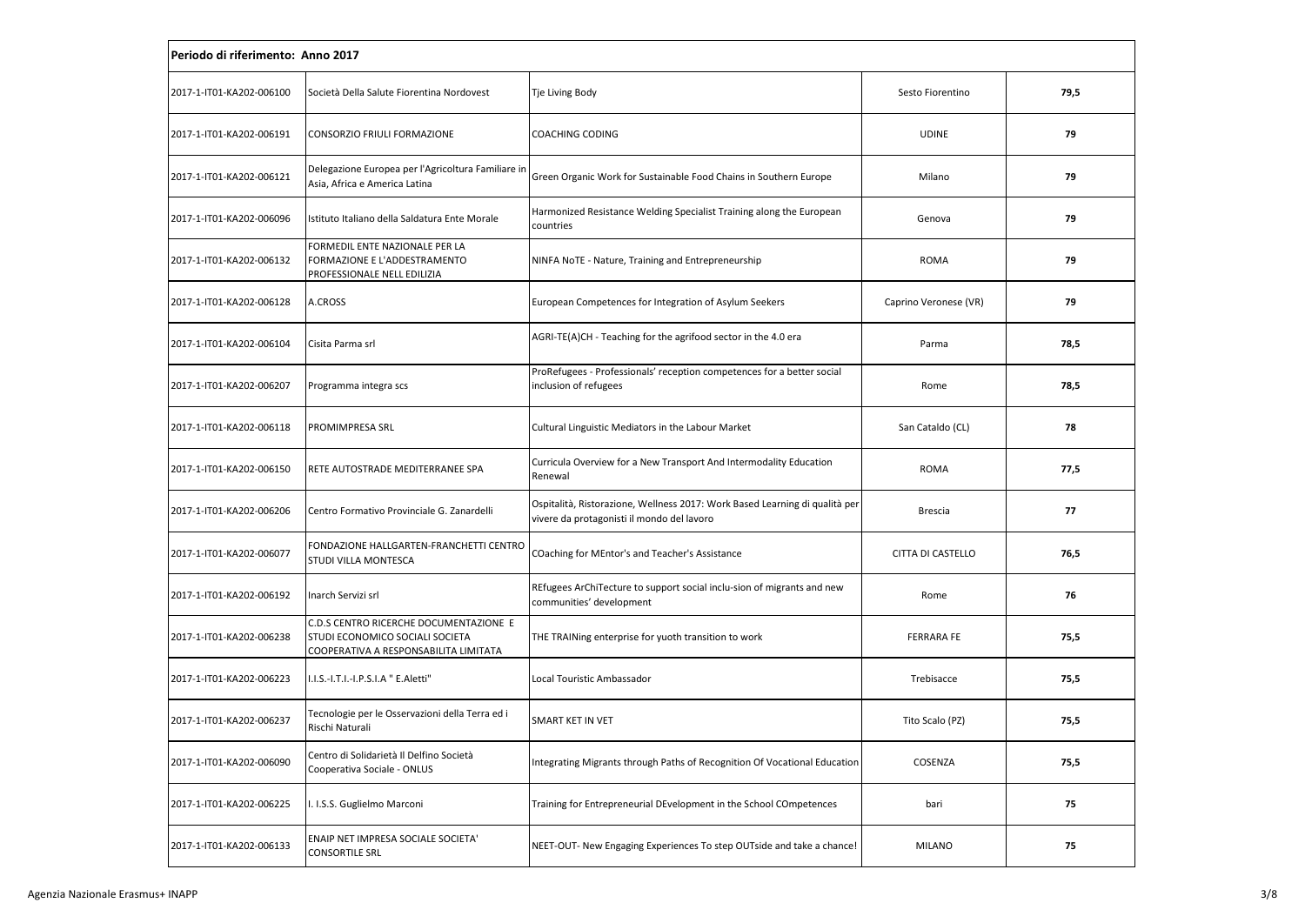| Periodo di riferimento: Anno 2017 |                                                                                                                    |                                                                                                                           |                       |      |  |
|-----------------------------------|--------------------------------------------------------------------------------------------------------------------|---------------------------------------------------------------------------------------------------------------------------|-----------------------|------|--|
| 2017-1-IT01-KA202-006100          | Società Della Salute Fiorentina Nordovest                                                                          | Tje Living Body                                                                                                           | Sesto Fiorentino      | 79,5 |  |
| 2017-1-IT01-KA202-006191          | CONSORZIO FRIULI FORMAZIONE                                                                                        | COACHING CODING                                                                                                           | <b>UDINE</b>          | 79   |  |
| 2017-1-IT01-KA202-006121          | Delegazione Europea per l'Agricoltura Familiare in<br>Asia, Africa e America Latina                                | Green Organic Work for Sustainable Food Chains in Southern Europe                                                         | Milano                | 79   |  |
| 2017-1-IT01-KA202-006096          | Istituto Italiano della Saldatura Ente Morale                                                                      | Harmonized Resistance Welding Specialist Training along the European<br>countries                                         | Genova                | 79   |  |
| 2017-1-IT01-KA202-006132          | FORMEDIL ENTE NAZIONALE PER LA<br>FORMAZIONE E L'ADDESTRAMENTO<br>PROFESSIONALE NELL EDILIZIA                      | NINFA NoTE - Nature, Training and Entrepreneurship                                                                        | <b>ROMA</b>           | 79   |  |
| 2017-1-IT01-KA202-006128          | A.CROSS                                                                                                            | European Competences for Integration of Asylum Seekers                                                                    | Caprino Veronese (VR) | 79   |  |
| 2017-1-IT01-KA202-006104          | Cisita Parma srl                                                                                                   | AGRI-TE(A)CH - Teaching for the agrifood sector in the 4.0 era                                                            | Parma                 | 78,5 |  |
| 2017-1-IT01-KA202-006207          | Programma integra scs                                                                                              | ProRefugees - Professionals' reception competences for a better social<br>inclusion of refugees                           | Rome                  | 78,5 |  |
| 2017-1-IT01-KA202-006118          | PROMIMPRESA SRL                                                                                                    | Cultural Linguistic Mediators in the Labour Market                                                                        | San Cataldo (CL)      | 78   |  |
| 2017-1-IT01-KA202-006150          | RETE AUTOSTRADE MEDITERRANEE SPA                                                                                   | Curricula Overview for a New Transport And Intermodality Education<br>Renewal                                             | <b>ROMA</b>           | 77,5 |  |
| 2017-1-IT01-KA202-006206          | Centro Formativo Provinciale G. Zanardelli                                                                         | Ospitalità, Ristorazione, Wellness 2017: Work Based Learning di qualità per<br>vivere da protagonisti il mondo del lavoro | <b>Brescia</b>        | 77   |  |
| 2017-1-IT01-KA202-006077          | FONDAZIONE HALLGARTEN-FRANCHETTI CENTRO<br>STUDI VILLA MONTESCA                                                    | COaching for MEntor's and Teacher's Assistance                                                                            | CITTA DI CASTELLO     | 76,5 |  |
| 2017-1-IT01-KA202-006192          | Inarch Servizi srl                                                                                                 | REfugees ArChiTecture to support social inclu-sion of migrants and new<br>communities' development                        | Rome                  | 76   |  |
| 2017-1-IT01-KA202-006238          | C.D.S CENTRO RICERCHE DOCUMENTAZIONE E<br>STUDI ECONOMICO SOCIALI SOCIETA<br>COOPERATIVA A RESPONSABILITA LIMITATA | THE TRAINing enterprise for yuoth transition to work                                                                      | <b>FERRARA FE</b>     | 75,5 |  |
| 2017-1-IT01-KA202-006223          | I.I.S.-I.T.I.-I.P.S.I.A " E.Aletti"                                                                                | Local Touristic Ambassador                                                                                                | Trebisacce            | 75,5 |  |
| 2017-1-IT01-KA202-006237          | Tecnologie per le Osservazioni della Terra ed i<br>Rischi Naturali                                                 | SMART KET IN VET                                                                                                          | Tito Scalo (PZ)       | 75,5 |  |
| 2017-1-IT01-KA202-006090          | Centro di Solidarietà Il Delfino Società<br>Cooperativa Sociale - ONLUS                                            | Integrating Migrants through Paths of Recognition Of Vocational Education                                                 | COSENZA               | 75,5 |  |
| 2017-1-IT01-KA202-006225          | I. I.S.S. Guglielmo Marconi                                                                                        | Training for Entrepreneurial DEvelopment in the School COmpetences                                                        | bari                  | 75   |  |
| 2017-1-IT01-KA202-006133          | ENAIP NET IMPRESA SOCIALE SOCIETA'<br><b>CONSORTILE SRL</b>                                                        | NEET-OUT- New Engaging Experiences To step OUTside and take a chance!                                                     | <b>MILANO</b>         | 75   |  |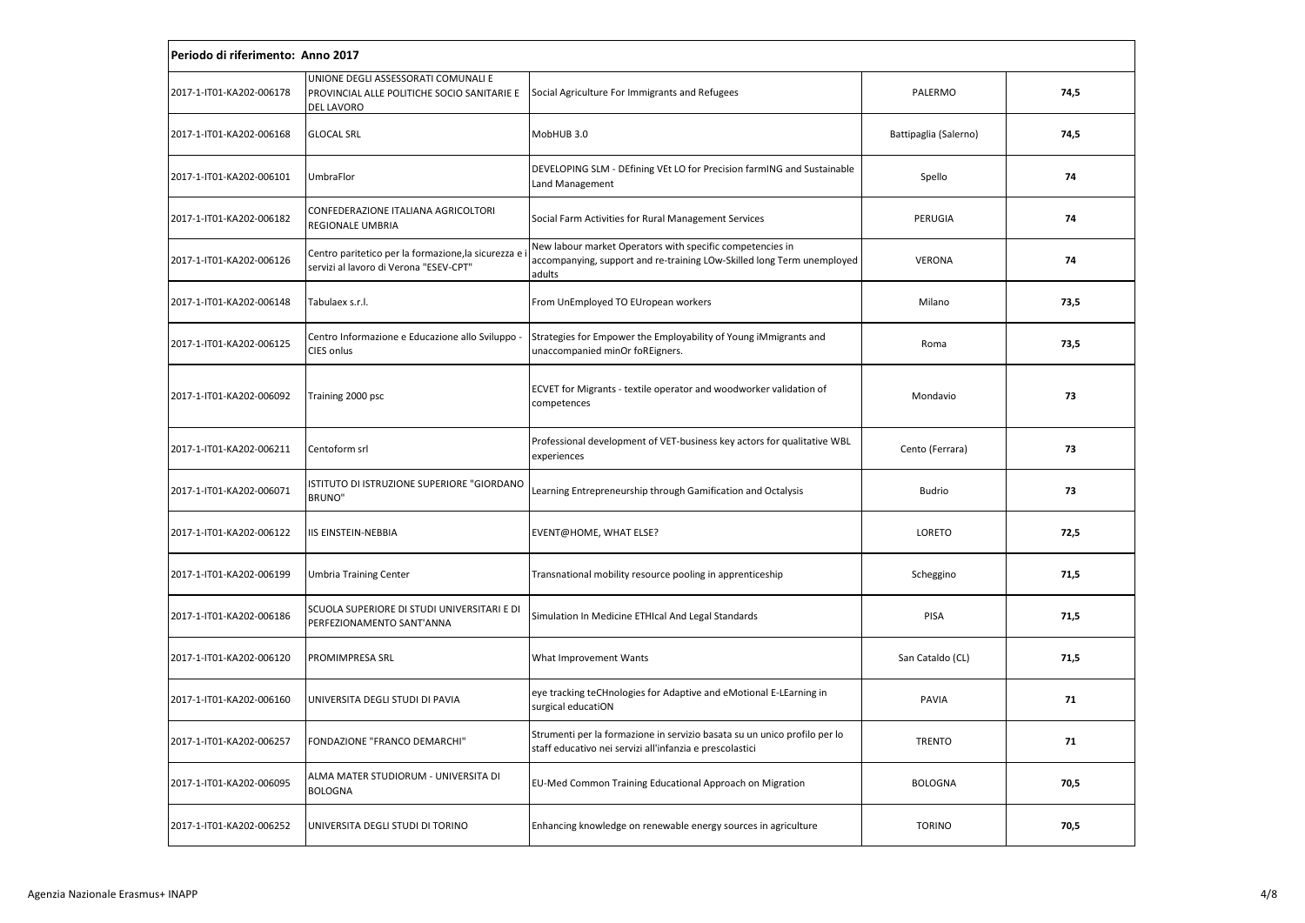| Periodo di riferimento: Anno 2017 |                                                                                                  |                                                                                                                                               |                       |      |  |
|-----------------------------------|--------------------------------------------------------------------------------------------------|-----------------------------------------------------------------------------------------------------------------------------------------------|-----------------------|------|--|
| 2017-1-IT01-KA202-006178          | UNIONE DEGLI ASSESSORATI COMUNALI E<br>PROVINCIAL ALLE POLITICHE SOCIO SANITARIE E<br>DEL LAVORO | Social Agriculture For Immigrants and Refugees                                                                                                | PALERMO               | 74,5 |  |
| 2017-1-IT01-KA202-006168          | <b>GLOCAL SRL</b>                                                                                | MobHUB 3.0                                                                                                                                    | Battipaglia (Salerno) | 74,5 |  |
| 2017-1-IT01-KA202-006101          | UmbraFlor                                                                                        | DEVELOPING SLM - DEfining VEt LO for Precision farmING and Sustainable<br>Land Management                                                     | Spello                | 74   |  |
| 2017-1-IT01-KA202-006182          | CONFEDERAZIONE ITALIANA AGRICOLTORI<br>REGIONALE UMBRIA                                          | Social Farm Activities for Rural Management Services                                                                                          | PERUGIA               | 74   |  |
| 2017-1-IT01-KA202-006126          | Centro paritetico per la formazione, la sicurezza e<br>servizi al lavoro di Verona "ESEV-CPT"    | New labour market Operators with specific competencies in<br>accompanying, support and re-training LOw-Skilled long Term unemployed<br>adults | VERONA                | 74   |  |
| 2017-1-IT01-KA202-006148          | Tabulaex s.r.l.                                                                                  | From UnEmployed TO EUropean workers                                                                                                           | Milano                | 73,5 |  |
| 2017-1-IT01-KA202-006125          | Centro Informazione e Educazione allo Sviluppo<br>CIES onlus                                     | Strategies for Empower the Employability of Young iMmigrants and<br>unaccompanied minOr foREigners.                                           | Roma                  | 73,5 |  |
| 2017-1-IT01-KA202-006092          | Training 2000 psc                                                                                | ECVET for Migrants - textile operator and woodworker validation of<br>competences                                                             | Mondavio              | 73   |  |
| 2017-1-IT01-KA202-006211          | Centoform srl                                                                                    | Professional development of VET-business key actors for qualitative WBL<br>experiences                                                        | Cento (Ferrara)       | 73   |  |
| 2017-1-IT01-KA202-006071          | ISTITUTO DI ISTRUZIONE SUPERIORE "GIORDANO<br>BRUNO"                                             | Learning Entrepreneurship through Gamification and Octalysis                                                                                  | <b>Budrio</b>         | 73   |  |
| 2017-1-IT01-KA202-006122          | <b>IIS EINSTEIN-NEBBIA</b>                                                                       | EVENT@HOME, WHAT ELSE?                                                                                                                        | LORETO                | 72,5 |  |
| 2017-1-IT01-KA202-006199          | <b>Umbria Training Center</b>                                                                    | Transnational mobility resource pooling in apprenticeship                                                                                     | Scheggino             | 71,5 |  |
| 2017-1-IT01-KA202-006186          | SCUOLA SUPERIORE DI STUDI UNIVERSITARI E DI<br>PERFEZIONAMENTO SANT'ANNA                         | Simulation In Medicine ETHIcal And Legal Standards                                                                                            | PISA                  | 71,5 |  |
| 2017-1-IT01-KA202-006120          | PROMIMPRESA SRL                                                                                  | What Improvement Wants                                                                                                                        | San Cataldo (CL)      | 71,5 |  |
| 2017-1-IT01-KA202-006160          | UNIVERSITA DEGLI STUDI DI PAVIA                                                                  | eye tracking teCHnologies for Adaptive and eMotional E-LEarning in<br>surgical educatiON                                                      | PAVIA                 | 71   |  |
| 2017-1-IT01-KA202-006257          | FONDAZIONE "FRANCO DEMARCHI"                                                                     | Strumenti per la formazione in servizio basata su un unico profilo per lo<br>staff educativo nei servizi all'infanzia e prescolastici         | <b>TRENTO</b>         | 71   |  |
| 2017-1-IT01-KA202-006095          | ALMA MATER STUDIORUM - UNIVERSITA DI<br><b>BOLOGNA</b>                                           | EU-Med Common Training Educational Approach on Migration                                                                                      | <b>BOLOGNA</b>        | 70,5 |  |
| 2017-1-IT01-KA202-006252          | UNIVERSITA DEGLI STUDI DI TORINO                                                                 | Enhancing knowledge on renewable energy sources in agriculture                                                                                | <b>TORINO</b>         | 70,5 |  |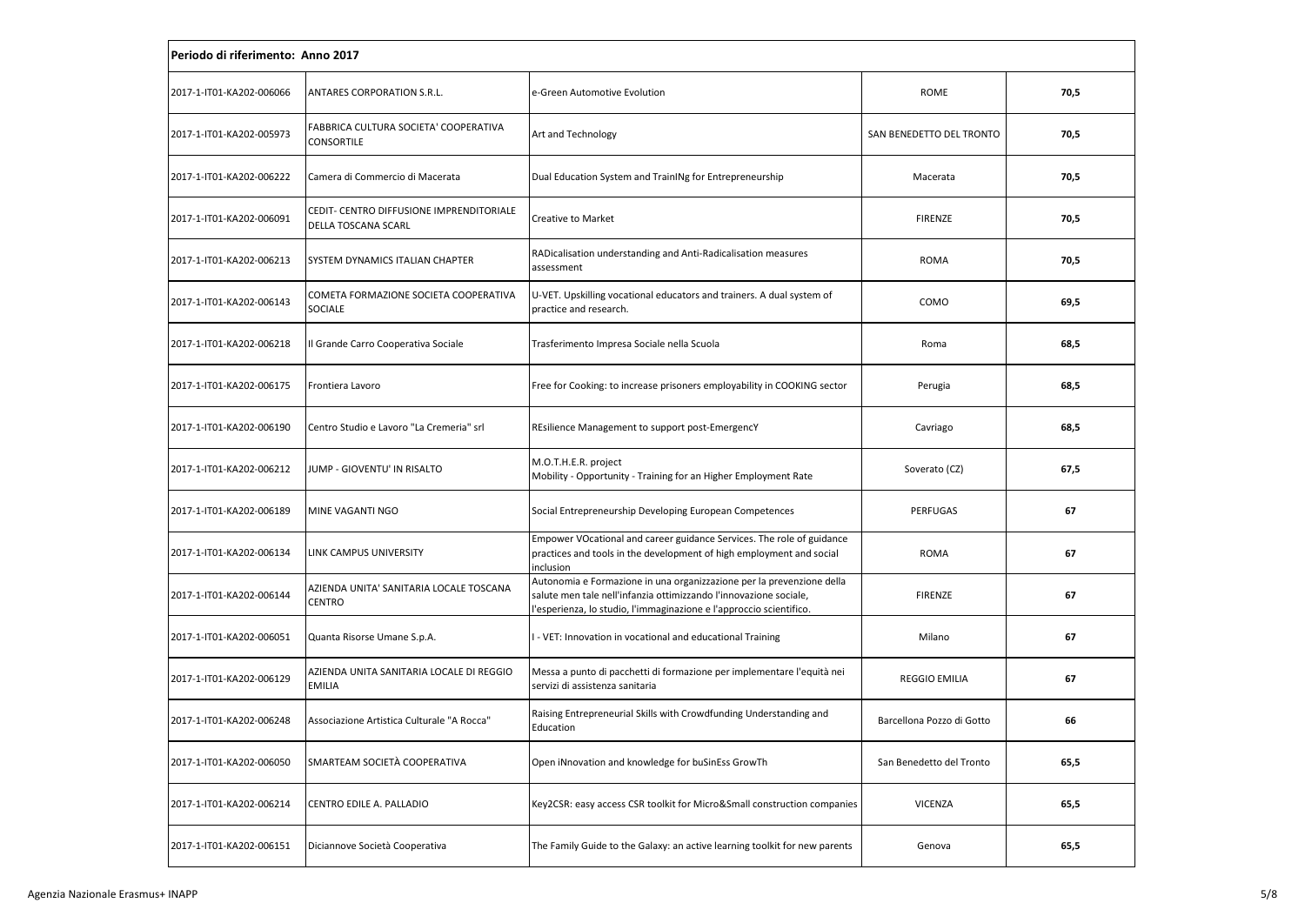| Periodo di riferimento: Anno 2017 |                                                                 |                                                                                                                                                                                                                   |                           |      |  |
|-----------------------------------|-----------------------------------------------------------------|-------------------------------------------------------------------------------------------------------------------------------------------------------------------------------------------------------------------|---------------------------|------|--|
| 2017-1-IT01-KA202-006066          | ANTARES CORPORATION S.R.L.                                      | e-Green Automotive Evolution                                                                                                                                                                                      | ROME                      | 70,5 |  |
| 2017-1-IT01-KA202-005973          | FABBRICA CULTURA SOCIETA' COOPERATIVA<br>CONSORTILE             | Art and Technology                                                                                                                                                                                                | SAN BENEDETTO DEL TRONTO  | 70,5 |  |
| 2017-1-IT01-KA202-006222          | Camera di Commercio di Macerata                                 | Dual Education System and TrainINg for Entrepreneurship                                                                                                                                                           | Macerata                  | 70,5 |  |
| 2017-1-IT01-KA202-006091          | CEDIT- CENTRO DIFFUSIONE IMPRENDITORIALE<br>DELLA TOSCANA SCARL | Creative to Market                                                                                                                                                                                                | <b>FIRENZE</b>            | 70,5 |  |
| 2017-1-IT01-KA202-006213          | SYSTEM DYNAMICS ITALIAN CHAPTER                                 | RADicalisation understanding and Anti-Radicalisation measures<br>assessment                                                                                                                                       | <b>ROMA</b>               | 70,5 |  |
| 2017-1-IT01-KA202-006143          | COMETA FORMAZIONE SOCIETA COOPERATIVA<br><b>SOCIALE</b>         | U-VET. Upskilling vocational educators and trainers. A dual system of<br>practice and research.                                                                                                                   | COMO                      | 69,5 |  |
| 2017-1-IT01-KA202-006218          | Il Grande Carro Cooperativa Sociale                             | Trasferimento Impresa Sociale nella Scuola                                                                                                                                                                        | Roma                      | 68,5 |  |
| 2017-1-IT01-KA202-006175          | Frontiera Lavoro                                                | Free for Cooking: to increase prisoners employability in COOKING sector                                                                                                                                           | Perugia                   | 68,5 |  |
| 2017-1-IT01-KA202-006190          | Centro Studio e Lavoro "La Cremeria" srl                        | REsilience Management to support post-EmergencY                                                                                                                                                                   | Cavriago                  | 68,5 |  |
| 2017-1-IT01-KA202-006212          | JUMP - GIOVENTU' IN RISALTO                                     | M.O.T.H.E.R. project<br>Mobility - Opportunity - Training for an Higher Employment Rate                                                                                                                           | Soverato (CZ)             | 67,5 |  |
| 2017-1-IT01-KA202-006189          | MINE VAGANTI NGO                                                | Social Entrepreneurship Developing European Competences                                                                                                                                                           | PERFUGAS                  | 67   |  |
| 2017-1-IT01-KA202-006134          | LINK CAMPUS UNIVERSITY                                          | Empower VOcational and career guidance Services. The role of guidance<br>practices and tools in the development of high employment and social<br>inclusion                                                        | <b>ROMA</b>               | 67   |  |
| 2017-1-IT01-KA202-006144          | AZIENDA UNITA' SANITARIA LOCALE TOSCANA<br><b>CENTRO</b>        | Autonomia e Formazione in una organizzazione per la prevenzione della<br>salute men tale nell'infanzia ottimizzando l'innovazione sociale,<br>l'esperienza, lo studio, l'immaginazione e l'approccio scientifico. | <b>FIRENZE</b>            | 67   |  |
| 2017-1-IT01-KA202-006051          | Quanta Risorse Umane S.p.A.                                     | - VET: Innovation in vocational and educational Training                                                                                                                                                          | Milano                    | 67   |  |
| 2017-1-IT01-KA202-006129          | AZIENDA UNITA SANITARIA LOCALE DI REGGIO<br><b>EMILIA</b>       | Messa a punto di pacchetti di formazione per implementare l'equità nei<br>servizi di assistenza sanitaria                                                                                                         | <b>REGGIO EMILIA</b>      | 67   |  |
| 2017-1-IT01-KA202-006248          | Associazione Artistica Culturale "A Rocca"                      | Raising Entrepreneurial Skills with Crowdfunding Understanding and<br>Education                                                                                                                                   | Barcellona Pozzo di Gotto | 66   |  |
| 2017-1-IT01-KA202-006050          | SMARTEAM SOCIETÀ COOPERATIVA                                    | Open iNnovation and knowledge for buSinEss GrowTh                                                                                                                                                                 | San Benedetto del Tronto  | 65,5 |  |
| 2017-1-IT01-KA202-006214          | CENTRO EDILE A. PALLADIO                                        | Key2CSR: easy access CSR toolkit for Micro&Small construction companies                                                                                                                                           | <b>VICENZA</b>            | 65,5 |  |
| 2017-1-IT01-KA202-006151          | Diciannove Società Cooperativa                                  | The Family Guide to the Galaxy: an active learning toolkit for new parents                                                                                                                                        | Genova                    | 65,5 |  |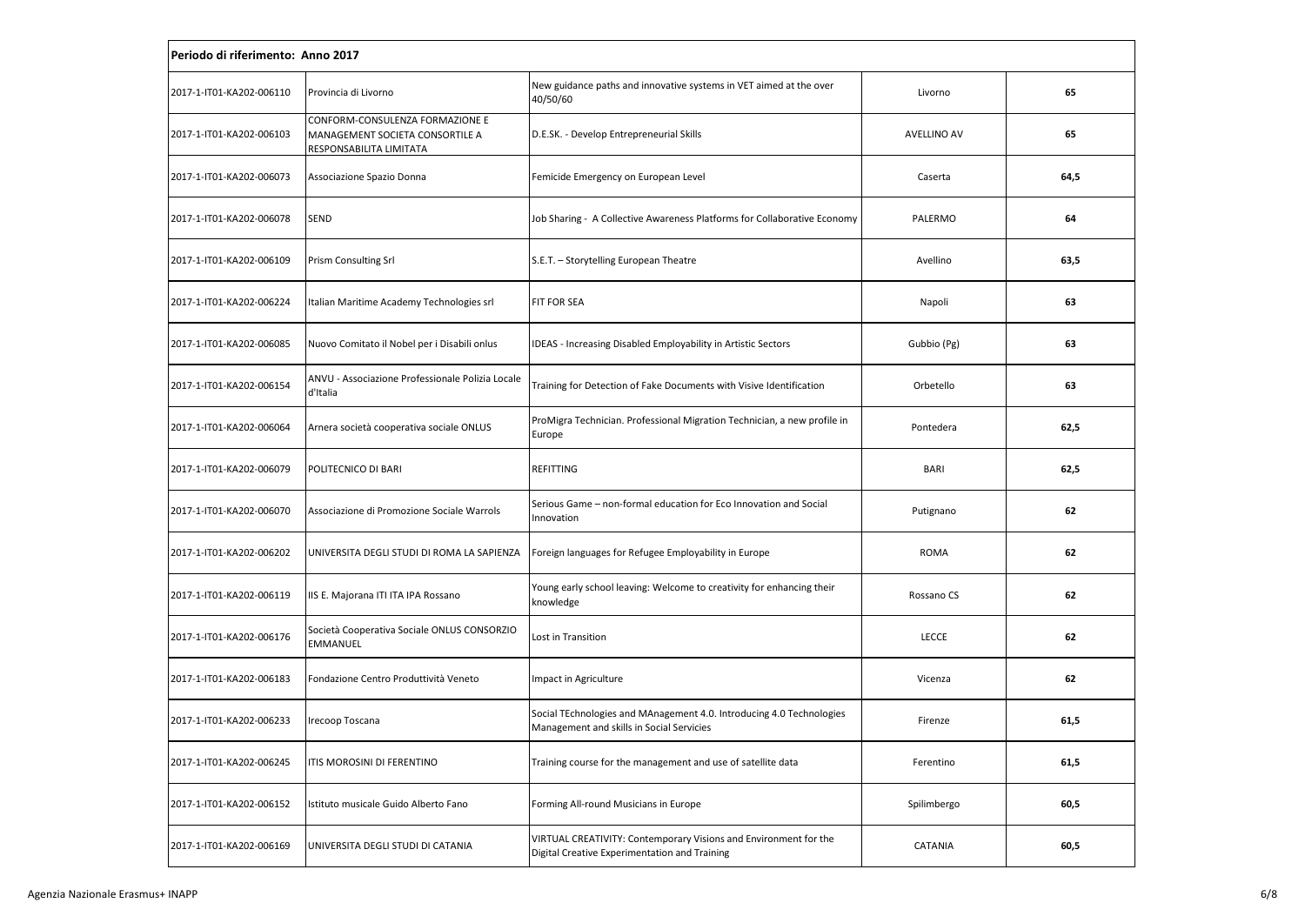| Periodo di riferimento: Anno 2017 |                                                                                               |                                                                                                                   |                    |      |  |
|-----------------------------------|-----------------------------------------------------------------------------------------------|-------------------------------------------------------------------------------------------------------------------|--------------------|------|--|
| 2017-1-IT01-KA202-006110          | Provincia di Livorno                                                                          | New guidance paths and innovative systems in VET aimed at the over<br>40/50/60                                    | Livorno            | 65   |  |
| 2017-1-IT01-KA202-006103          | CONFORM-CONSULENZA FORMAZIONE E<br>MANAGEMENT SOCIETA CONSORTILE A<br>RESPONSABILITA LIMITATA | D.E.SK. - Develop Entrepreneurial Skills                                                                          | <b>AVELLINO AV</b> | 65   |  |
| 2017-1-IT01-KA202-006073          | Associazione Spazio Donna                                                                     | Femicide Emergency on European Level                                                                              | Caserta            | 64,5 |  |
| 2017-1-IT01-KA202-006078          | <b>SEND</b>                                                                                   | Job Sharing - A Collective Awareness Platforms for Collaborative Economy                                          | PALERMO            | 64   |  |
| 2017-1-IT01-KA202-006109          | <b>Prism Consulting Srl</b>                                                                   | S.E.T. - Storytelling European Theatre                                                                            | Avellino           | 63,5 |  |
| 2017-1-IT01-KA202-006224          | Italian Maritime Academy Technologies srl                                                     | <b>FIT FOR SEA</b>                                                                                                | Napoli             | 63   |  |
| 2017-1-IT01-KA202-006085          | Nuovo Comitato il Nobel per i Disabili onlus                                                  | IDEAS - Increasing Disabled Employability in Artistic Sectors                                                     | Gubbio (Pg)        | 63   |  |
| 2017-1-IT01-KA202-006154          | ANVU - Associazione Professionale Polizia Locale<br>d'Italia                                  | Training for Detection of Fake Documents with Visive Identification                                               | Orbetello          | 63   |  |
| 2017-1-IT01-KA202-006064          | Arnera società cooperativa sociale ONLUS                                                      | ProMigra Technician. Professional Migration Technician, a new profile in<br>Europe                                | Pontedera          | 62,5 |  |
| 2017-1-IT01-KA202-006079          | POLITECNICO DI BARI                                                                           | REFITTING                                                                                                         | <b>BARI</b>        | 62,5 |  |
| 2017-1-IT01-KA202-006070          | Associazione di Promozione Sociale Warrols                                                    | Serious Game - non-formal education for Eco Innovation and Social<br>Innovation                                   | Putignano          | 62   |  |
| 2017-1-IT01-KA202-006202          | UNIVERSITA DEGLI STUDI DI ROMA LA SAPIENZA                                                    | Foreign languages for Refugee Employability in Europe                                                             | <b>ROMA</b>        | 62   |  |
| 2017-1-IT01-KA202-006119          | IIS E. Majorana ITI ITA IPA Rossano                                                           | Young early school leaving: Welcome to creativity for enhancing their<br>knowledge                                | Rossano CS         | 62   |  |
| 2017-1-IT01-KA202-006176          | Società Cooperativa Sociale ONLUS CONSORZIO<br>EMMANUEL                                       | Lost in Transition                                                                                                | <b>LECCE</b>       | 62   |  |
| 2017-1-IT01-KA202-006183          | Fondazione Centro Produttività Veneto                                                         | Impact in Agriculture                                                                                             | Vicenza            | 62   |  |
| 2017-1-IT01-KA202-006233          | Irecoop Toscana                                                                               | Social TEchnologies and MAnagement 4.0. Introducing 4.0 Technologies<br>Management and skills in Social Servicies | Firenze            | 61,5 |  |
| 2017-1-IT01-KA202-006245          | ITIS MOROSINI DI FERENTINO                                                                    | Training course for the management and use of satellite data                                                      | Ferentino          | 61,5 |  |
| 2017-1-IT01-KA202-006152          | Istituto musicale Guido Alberto Fano                                                          | Forming All-round Musicians in Europe                                                                             | Spilimbergo        | 60,5 |  |
| 2017-1-IT01-KA202-006169          | UNIVERSITA DEGLI STUDI DI CATANIA                                                             | VIRTUAL CREATIVITY: Contemporary Visions and Environment for the<br>Digital Creative Experimentation and Training | CATANIA            | 60,5 |  |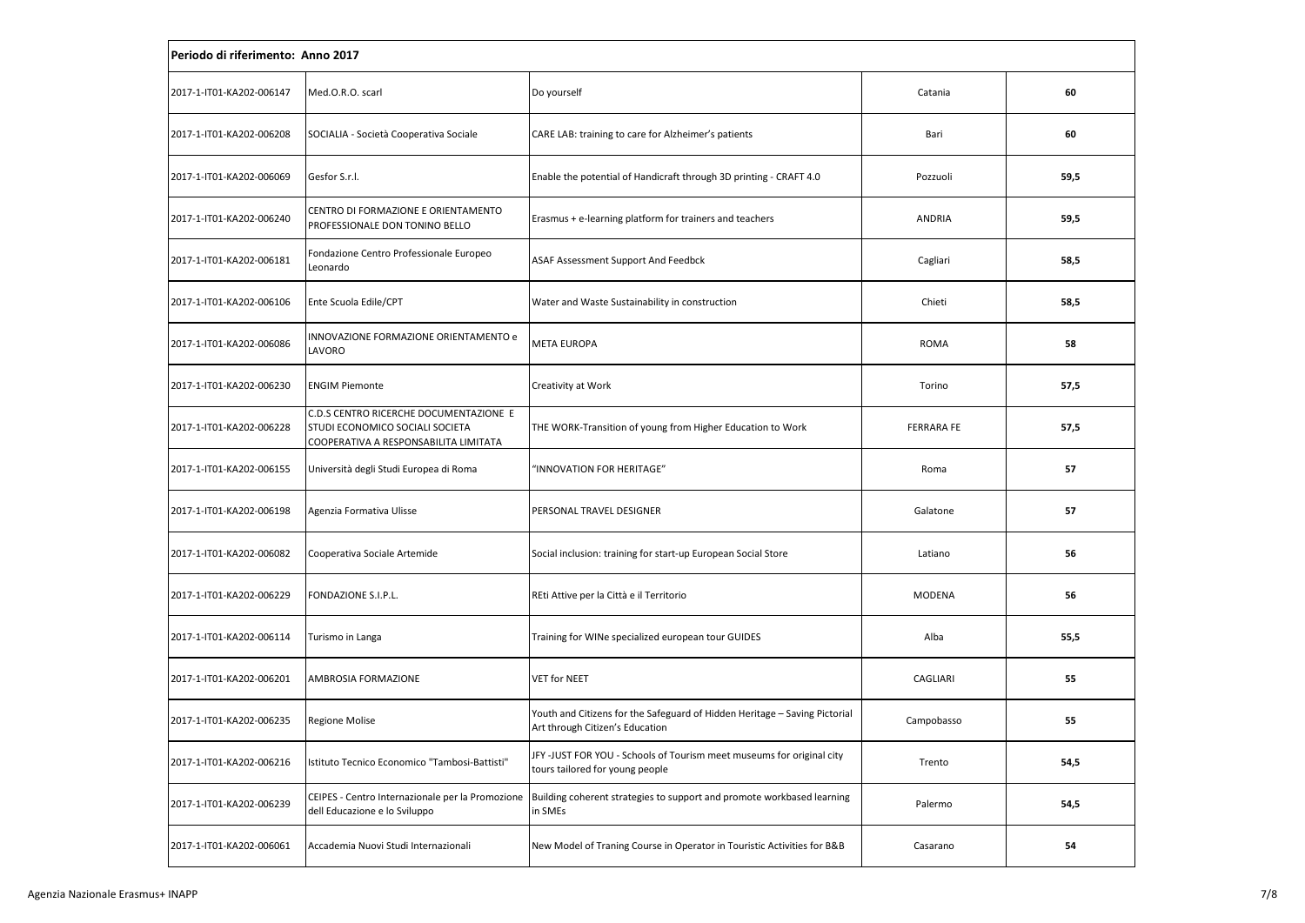|                          | Periodo di riferimento: Anno 2017                                                                                  |                                                                                                               |                   |      |  |  |
|--------------------------|--------------------------------------------------------------------------------------------------------------------|---------------------------------------------------------------------------------------------------------------|-------------------|------|--|--|
| 2017-1-IT01-KA202-006147 | Med.O.R.O. scarl                                                                                                   | Do yourself                                                                                                   | Catania           | 60   |  |  |
| 2017-1-IT01-KA202-006208 | SOCIALIA - Società Cooperativa Sociale                                                                             | CARE LAB: training to care for Alzheimer's patients                                                           | Bari              | 60   |  |  |
| 2017-1-IT01-KA202-006069 | Gesfor S.r.l.                                                                                                      | Enable the potential of Handicraft through 3D printing - CRAFT 4.0                                            | Pozzuoli          | 59,5 |  |  |
| 2017-1-IT01-KA202-006240 | CENTRO DI FORMAZIONE E ORIENTAMENTO<br>PROFESSIONALE DON TONINO BELLO                                              | Erasmus + e-learning platform for trainers and teachers                                                       | ANDRIA            | 59,5 |  |  |
| 2017-1-IT01-KA202-006181 | Fondazione Centro Professionale Europeo<br>Leonardo                                                                | ASAF Assessment Support And Feedbck                                                                           | Cagliari          | 58,5 |  |  |
| 2017-1-IT01-KA202-006106 | Ente Scuola Edile/CPT                                                                                              | Water and Waste Sustainability in construction                                                                | Chieti            | 58,5 |  |  |
| 2017-1-IT01-KA202-006086 | INNOVAZIONE FORMAZIONE ORIENTAMENTO e<br>LAVORO                                                                    | <b>META EUROPA</b>                                                                                            | <b>ROMA</b>       | 58   |  |  |
| 2017-1-IT01-KA202-006230 | <b>ENGIM Piemonte</b>                                                                                              | Creativity at Work                                                                                            | Torino            | 57,5 |  |  |
| 2017-1-IT01-KA202-006228 | C.D.S CENTRO RICERCHE DOCUMENTAZIONE E<br>STUDI ECONOMICO SOCIALI SOCIETA<br>COOPERATIVA A RESPONSABILITA LIMITATA | THE WORK-Transition of young from Higher Education to Work                                                    | <b>FERRARA FE</b> | 57,5 |  |  |
| 2017-1-IT01-KA202-006155 | Università degli Studi Europea di Roma                                                                             | 'INNOVATION FOR HERITAGE"                                                                                     | Roma              | 57   |  |  |
| 2017-1-IT01-KA202-006198 | Agenzia Formativa Ulisse                                                                                           | PERSONAL TRAVEL DESIGNER                                                                                      | Galatone          | 57   |  |  |
| 2017-1-IT01-KA202-006082 | Cooperativa Sociale Artemide                                                                                       | Social inclusion: training for start-up European Social Store                                                 | Latiano           | 56   |  |  |
| 2017-1-IT01-KA202-006229 | FONDAZIONE S.I.P.L.                                                                                                | REti Attive per la Città e il Territorio                                                                      | <b>MODENA</b>     | 56   |  |  |
| 2017-1-IT01-KA202-006114 | Turismo in Langa                                                                                                   | Training for WINe specialized european tour GUIDES                                                            | Alba              | 55,5 |  |  |
| 2017-1-IT01-KA202-006201 | AMBROSIA FORMAZIONE                                                                                                | <b>VET for NEET</b>                                                                                           | CAGLIARI          | 55   |  |  |
| 2017-1-IT01-KA202-006235 | <b>Regione Molise</b>                                                                                              | Youth and Citizens for the Safeguard of Hidden Heritage - Saving Pictorial<br>Art through Citizen's Education | Campobasso        | 55   |  |  |
| 2017-1-IT01-KA202-006216 | Istituto Tecnico Economico "Tambosi-Battisti"                                                                      | JFY -JUST FOR YOU - Schools of Tourism meet museums for original city<br>tours tailored for young people      | Trento            | 54,5 |  |  |
| 2017-1-IT01-KA202-006239 | CEIPES - Centro Internazionale per la Promozione<br>dell Educazione e lo Sviluppo                                  | Building coherent strategies to support and promote workbased learning<br>in SMEs                             | Palermo           | 54,5 |  |  |
| 2017-1-IT01-KA202-006061 | Accademia Nuovi Studi Internazionali                                                                               | New Model of Traning Course in Operator in Touristic Activities for B&B                                       | Casarano          | 54   |  |  |